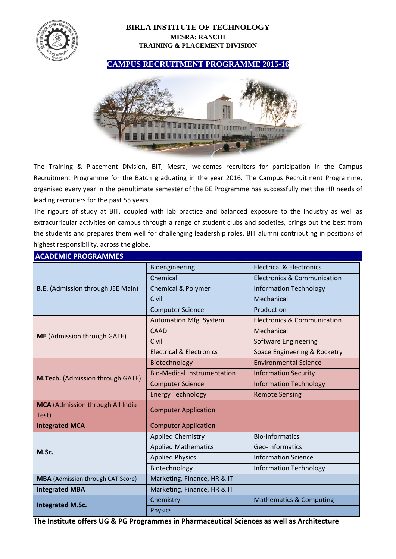

## **BIRLA INSTITUTE OF TECHNOLOGY MESRA: RANCHI TRAINING & PLACEMENT DIVISION**

**CAMPUS RECRUITMENT PROGRAMME 2015-16** 



The Training & Placement Division, BIT, Mesra, welcomes recruiters for participation in the Campus Recruitment Programme for the Batch graduating in the year 2016. The Campus Recruitment Programme, organised every year in the penultimate semester of the BE Programme has successfully met the HR needs of leading recruiters for the past 55 years.

The rigours of study at BIT, coupled with lab practice and balanced exposure to the Industry as well as extracurricular activities on campus through a range of student clubs and societies, brings out the best from the students and prepares them well for challenging leadership roles. BIT alumni contributing in positions of highest responsibility, across the globe.

| <b>ACADEMIC PROGRAMMES</b>                       |                                     |                                        |  |  |  |
|--------------------------------------------------|-------------------------------------|----------------------------------------|--|--|--|
| <b>B.E.</b> (Admission through JEE Main)         | Bioengineering                      | <b>Electrical &amp; Electronics</b>    |  |  |  |
|                                                  | Chemical                            | <b>Electronics &amp; Communication</b> |  |  |  |
|                                                  | <b>Chemical &amp; Polymer</b>       | <b>Information Technology</b>          |  |  |  |
|                                                  | Civil                               | Mechanical                             |  |  |  |
|                                                  | <b>Computer Science</b>             | Production                             |  |  |  |
| <b>ME</b> (Admission through GATE)               | <b>Automation Mfg. System</b>       | Electronics & Communication            |  |  |  |
|                                                  | CAAD                                | Mechanical                             |  |  |  |
|                                                  | Civil                               | Software Engineering                   |  |  |  |
|                                                  | <b>Electrical &amp; Electronics</b> | Space Engineering & Rocketry           |  |  |  |
| M.Tech. (Admission through GATE)                 | Biotechnology                       | <b>Environmental Science</b>           |  |  |  |
|                                                  | <b>Bio-Medical Instrumentation</b>  | <b>Information Security</b>            |  |  |  |
|                                                  | <b>Computer Science</b>             | <b>Information Technology</b>          |  |  |  |
|                                                  | <b>Energy Technology</b>            | <b>Remote Sensing</b>                  |  |  |  |
| <b>MCA</b> (Admission through All India<br>Test) | <b>Computer Application</b>         |                                        |  |  |  |
| <b>Integrated MCA</b>                            | <b>Computer Application</b>         |                                        |  |  |  |
| M.Sc.                                            | <b>Applied Chemistry</b>            | <b>Bio-Informatics</b>                 |  |  |  |
|                                                  | <b>Applied Mathematics</b>          | Geo-Informatics                        |  |  |  |
|                                                  | <b>Applied Physics</b>              | <b>Information Science</b>             |  |  |  |
|                                                  | Biotechnology                       | <b>Information Technology</b>          |  |  |  |
| <b>MBA</b> (Admission through CAT Score)         | Marketing, Finance, HR & IT         |                                        |  |  |  |
| <b>Integrated MBA</b>                            | Marketing, Finance, HR & IT         |                                        |  |  |  |
| <b>Integrated M.Sc.</b>                          | Chemistry                           | <b>Mathematics &amp; Computing</b>     |  |  |  |
|                                                  | <b>Physics</b>                      |                                        |  |  |  |

The Institute offers UG & PG Programmes in Pharmaceutical Sciences as well as Architecture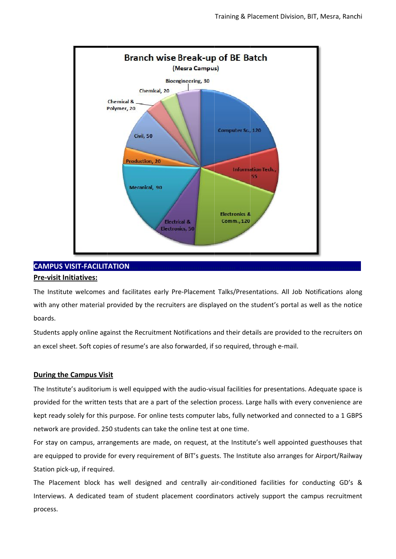

# **CAMPUS VISIT-FACILITATION**

#### **Pre-visit Initiatives:**

The Institute welcomes and facilitates early Pre-Placement Talks/Presentations. All Job Notifications along with any other material provided by the recruiters are displayed on the student's portal as well as the notice boards.

Students apply online against the Recruitment Notifications and their details are provided to the recruiters on an excel sheet. Soft copies of resume's are also forwarded, if so required, through e-mail.

### **During the Campus Visit**

The Institute's auditorium is well equipped with the audio-visual facilities for presentations. Adequate space is provided for the written tests that are a part of the selection process. Large halls with every convenience are kept ready solely for this purpose. For online tests computer labs, fully networked and connected to a 1 GBPS network are provided. 250 students can take the online test at one time.

For stay on campus, arrangements are made, on request, at the Institute's well appointed guesthouses that are equipped to provide for every requirement of BIT's guests. The Institute also arranges for Airport/Railway Station pick-up, if required.

The Placement block has well designed and centrally air-conditioned facilities for conducting GD's & Interviews. A dedicated team of student placement coordinators actively support the campus recruitment process.